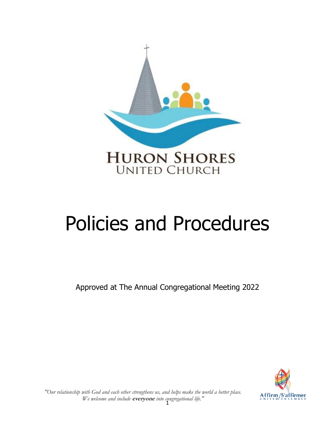

# Policies and Procedures

Approved at The Annual Congregational Meeting 2022



1 *We welcome and include* **everyone** *into congregational life.""Our relationship with God and each other strengthens us, and helps make the world a better place.*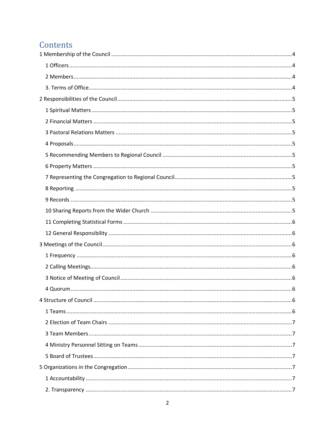# Contents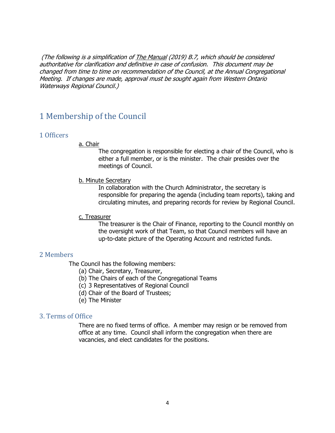(The following is a simplification of The Manual (2019) B.7, which should be considered authoritative for clarification and definitive in case of confusion. This document may be changed from time to time on recommendation of the Council, at the Annual Congregational Meeting. If changes are made, approval must be sought again from Western Ontario Waterways Regional Council.)

# <span id="page-3-0"></span>1 Membership of the Council

#### <span id="page-3-1"></span>1 Officers

#### a. Chair

The congregation is responsible for electing a chair of the Council, who is either a full member, or is the minister. The chair presides over the meetings of Council.

#### b. Minute Secretary

In collaboration with the Church Administrator, the secretary is responsible for preparing the agenda (including team reports), taking and circulating minutes, and preparing records for review by Regional Council.

#### c. Treasurer

The treasurer is the Chair of Finance, reporting to the Council monthly on the oversight work of that Team, so that Council members will have an up-to-date picture of the Operating Account and restricted funds.

## <span id="page-3-2"></span>2 Members

The Council has the following members:

- (a) Chair, Secretary, Treasurer,
- (b) The Chairs of each of the Congregational Teams
- (c) 3 Representatives of Regional Council
- (d) Chair of the Board of Trustees;
- (e) The Minister

#### <span id="page-3-3"></span>3. Terms of Office

There are no fixed terms of office. A member may resign or be removed from office at any time. Council shall inform the congregation when there are vacancies, and elect candidates for the positions.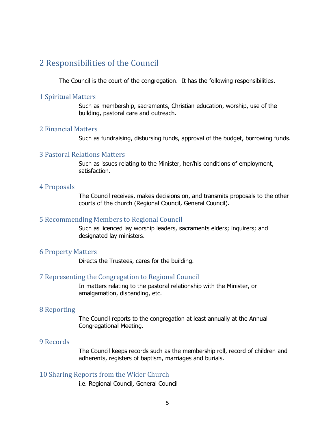# <span id="page-4-0"></span>2 Responsibilities of the Council

The Council is the court of the congregation. It has the following responsibilities.

#### <span id="page-4-1"></span>1 Spiritual Matters

Such as membership, sacraments, Christian education, worship, use of the building, pastoral care and outreach.

#### <span id="page-4-2"></span>2 Financial Matters

Such as fundraising, disbursing funds, approval of the budget, borrowing funds.

## <span id="page-4-3"></span>3 Pastoral Relations Matters

Such as issues relating to the Minister, her/his conditions of employment, satisfaction.

#### <span id="page-4-4"></span>4 Proposals

The Council receives, makes decisions on, and transmits proposals to the other courts of the church (Regional Council, General Council).

#### <span id="page-4-5"></span>5 Recommending Members to Regional Council

Such as licenced lay worship leaders, sacraments elders; inquirers; and designated lay ministers.

#### <span id="page-4-6"></span>6 Property Matters

Directs the Trustees, cares for the building.

#### <span id="page-4-7"></span>7 Representing the Congregation to Regional Council

In matters relating to the pastoral relationship with the Minister, or amalgamation, disbanding, etc.

#### <span id="page-4-8"></span>8 Reporting

The Council reports to the congregation at least annually at the Annual Congregational Meeting.

#### <span id="page-4-9"></span>9 Records

The Council keeps records such as the membership roll, record of children and adherents, registers of baptism, marriages and burials.

#### <span id="page-4-10"></span>10 Sharing Reports from the Wider Church

i.e. Regional Council, General Council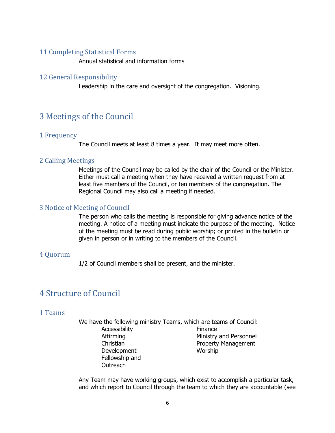## <span id="page-5-0"></span>11 Completing Statistical Forms

Annual statistical and information forms

#### <span id="page-5-1"></span>12 General Responsibility

Leadership in the care and oversight of the congregation. Visioning.

# <span id="page-5-2"></span>3 Meetings of the Council

#### <span id="page-5-3"></span>1 Frequency

The Council meets at least 8 times a year. It may meet more often.

#### <span id="page-5-4"></span>2 Calling Meetings

Meetings of the Council may be called by the chair of the Council or the Minister. Either must call a meeting when they have received a written request from at least five members of the Council, or ten members of the congregation. The Regional Council may also call a meeting if needed.

#### <span id="page-5-5"></span>3 Notice of Meeting of Council

The person who calls the meeting is responsible for giving advance notice of the meeting. A notice of a meeting must indicate the purpose of the meeting. Notice of the meeting must be read during public worship; or printed in the bulletin or given in person or in writing to the members of the Council.

#### <span id="page-5-6"></span>4 Quorum

1/2 of Council members shall be present, and the minister.

# <span id="page-5-7"></span>4 Structure of Council

#### <span id="page-5-8"></span>1 Teams

We have the following ministry Teams, which are teams of Council:

Accessibility Affirming **Christian** Development Fellowship and Outreach

Finance Ministry and Personnel Property Management Worship

Any Team may have working groups, which exist to accomplish a particular task, and which report to Council through the team to which they are accountable (see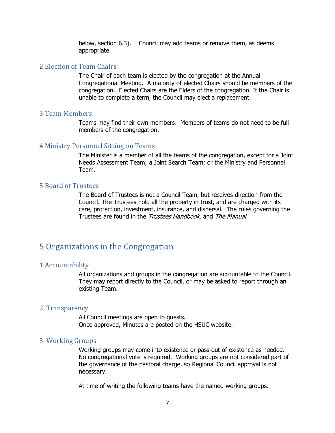below, section 6.3). Council may add teams or remove them, as deems appropriate.

#### <span id="page-6-0"></span>2 Election of Team Chairs

The Chair of each team is elected by the congregation at the Annual Congregational Meeting. A majority of elected Chairs should be members of the congregation. Elected Chairs are the Elders of the congregation. If the Chair is unable to complete a term, the Council may elect a replacement.

#### <span id="page-6-1"></span>3 Team Members

Teams may find their own members. Members of teams do not need to be full members of the congregation.

#### <span id="page-6-2"></span>4 Ministry Personnel Sitting on Teams

The Minister is a member of all the teams of the congregation, except for a Joint Needs Assessment Team; a Joint Search Team; or the Ministry and Personnel Team.

#### <span id="page-6-3"></span>5 Board of Trustees

The Board of Trustees is not a Council Team, but receives direction from the Council. The Trustees hold all the property in trust, and are charged with its care, protection, investment, insurance, and dispersal. The rules governing the Trustees are found in the Trustees Handbook, and The Manual.

# <span id="page-6-4"></span>5 Organizations in the Congregation

#### <span id="page-6-5"></span>1 Accountability

All organizations and groups in the congregation are accountable to the Council. They may report directly to the Council, or may be asked to report through an existing Team.

#### <span id="page-6-6"></span>2. Transparency

All Council meetings are open to guests. Once approved, Minutes are posted on the HSUC website.

#### <span id="page-6-7"></span>3. Working Groups

Working groups may come into existence or pass out of existence as needed. No congregational vote is required. Working groups are not considered part of the governance of the pastoral charge, so Regional Council approval is not necessary.

At time of writing the following teams have the named working groups.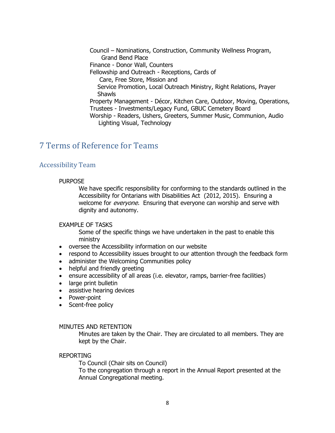Council – Nominations, Construction, Community Wellness Program, Grand Bend Place Finance - Donor Wall, Counters Fellowship and Outreach - Receptions, Cards of Care, Free Store, Mission and Service Promotion, Local Outreach Ministry, Right Relations, Prayer Shawls Property Management - Décor, Kitchen Care, Outdoor, Moving, Operations, Trustees - Investments/Legacy Fund, GBUC Cemetery Board Worship - Readers, Ushers, Greeters, Summer Music, Communion, Audio Lighting Visual, Technology

# <span id="page-7-0"></span>7 Terms of Reference for Teams

#### <span id="page-7-1"></span>Accessibility Team

#### PURPOSE

We have specific responsibility for conforming to the standards outlined in the Accessibility for Ontarians with Disabilities Act (2012, 2015). Ensuring a welcome for *everyone*. Ensuring that everyone can worship and serve with dignity and autonomy.

#### EXAMPLE OF TASKS

Some of the specific things we have undertaken in the past to enable this ministry

- oversee the Accessibility information on our website
- respond to Accessibility issues brought to our attention through the feedback form
- administer the Welcoming Communities policy
- helpful and friendly greeting
- ensure accessibility of all areas (i.e. elevator, ramps, barrier-free facilities)
- large print bulletin
- assistive hearing devices
- Power-point
- Scent-free policy

#### MINUTES AND RETENTION

Minutes are taken by the Chair. They are circulated to all members. They are kept by the Chair.

#### REPORTING

To Council (Chair sits on Council) To the congregation through a report in the Annual Report presented at the Annual Congregational meeting.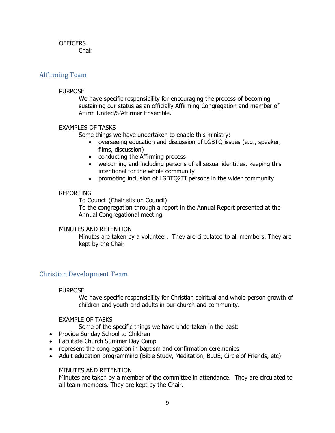## **OFFICERS**

Chair

## <span id="page-8-0"></span>Affirming Team

#### PURPOSE

We have specific responsibility for encouraging the process of becoming sustaining our status as an officially Affirming Congregation and member of Affirm United/S'Affirmer Ensemble.

#### **EXAMPLES OF TASKS**

Some things we have undertaken to enable this ministry:

- overseeing education and discussion of LGBTQ issues (e.g., speaker, films, discussion)
- conducting the Affirming process
- welcoming and including persons of all sexual identities, keeping this intentional for the whole community
- promoting inclusion of LGBTQ2TI persons in the wider community

#### REPORTING

To Council (Chair sits on Council) To the congregation through a report in the Annual Report presented at the Annual Congregational meeting.

#### MINUTES AND RETENTION

Minutes are taken by a volunteer. They are circulated to all members. They are kept by the Chair

## <span id="page-8-1"></span>Christian Development Team

#### PURPOSE

We have specific responsibility for Christian spiritual and whole person growth of children and youth and adults in our church and community.

#### EXAMPLE OF TASKS

Some of the specific things we have undertaken in the past:

- Provide Sunday School to Children
- Facilitate Church Summer Day Camp
- represent the congregation in baptism and confirmation ceremonies
- Adult education programming (Bible Study, Meditation, BLUE, Circle of Friends, etc)

#### MINUTES AND RETENTION

Minutes are taken by a member of the committee in attendance. They are circulated to all team members. They are kept by the Chair.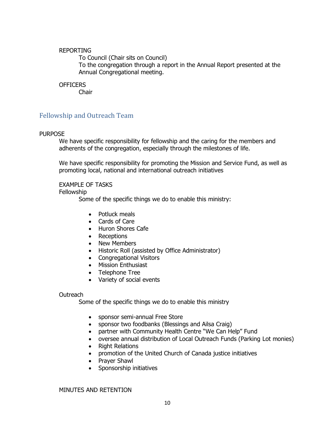#### REPORTING

To Council (Chair sits on Council) To the congregation through a report in the Annual Report presented at the Annual Congregational meeting.

#### **OFFICERS**

Chair

## <span id="page-9-0"></span>Fellowship and Outreach Team

#### PURPOSE

We have specific responsibility for fellowship and the caring for the members and adherents of the congregation, especially through the milestones of life.

We have specific responsibility for promoting the Mission and Service Fund, as well as promoting local, national and international outreach initiatives

#### EXAMPLE OF TASKS

Fellowship

Some of the specific things we do to enable this ministry:

- Potluck meals
- Cards of Care
- Huron Shores Cafe
- Receptions
- New Members
- Historic Roll (assisted by Office Administrator)
- Congregational Visitors
- Mission Enthusiast
- Telephone Tree
- Variety of social events

#### Outreach

Some of the specific things we do to enable this ministry

- sponsor semi-annual Free Store
- sponsor two foodbanks (Blessings and Ailsa Craig)
- partner with Community Health Centre "We Can Help" Fund
- oversee annual distribution of Local Outreach Funds (Parking Lot monies)
- Right Relations
- promotion of the United Church of Canada justice initiatives
- Prayer Shawl
- Sponsorship initiatives

#### MINUTES AND RETENTION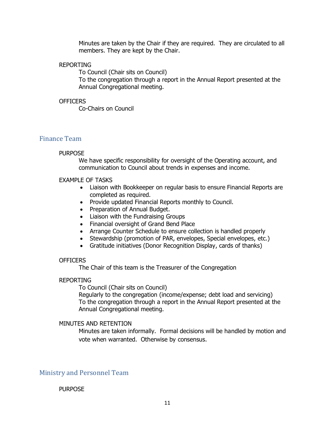Minutes are taken by the Chair if they are required. They are circulated to all members. They are kept by the Chair.

#### REPORTING

To Council (Chair sits on Council) To the congregation through a report in the Annual Report presented at the Annual Congregational meeting.

#### **OFFICERS**

Co-Chairs on Council

#### <span id="page-10-0"></span>Finance Team

#### PURPOSE

We have specific responsibility for oversight of the Operating account, and communication to Council about trends in expenses and income.

#### EXAMPLE OF TASKS

- Liaison with Bookkeeper on regular basis to ensure Financial Reports are completed as required.
- Provide updated Financial Reports monthly to Council.
- Preparation of Annual Budget.
- Liaison with the Fundraising Groups
- Financial oversight of Grand Bend Place
- Arrange Counter Schedule to ensure collection is handled properly
- Stewardship (promotion of PAR, envelopes, Special envelopes, etc.)
- Gratitude initiatives (Donor Recognition Display, cards of thanks)

#### **OFFICERS**

The Chair of this team is the Treasurer of the Congregation

#### REPORTING

To Council (Chair sits on Council)

Regularly to the congregation (income/expense; debt load and servicing) To the congregation through a report in the Annual Report presented at the Annual Congregational meeting.

#### MINUTES AND RETENTION

Minutes are taken informally. Formal decisions will be handled by motion and vote when warranted. Otherwise by consensus.

<span id="page-10-1"></span>Ministry and Personnel Team

#### **PURPOSE**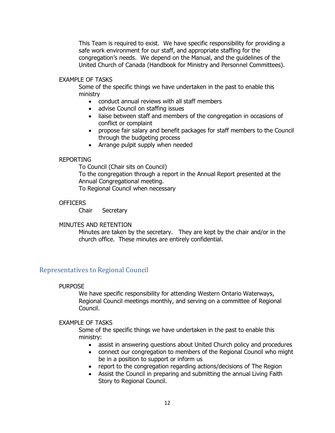This Team is required to exist. We have specific responsibility for providing a safe work environment for our staff, and appropriate staffing for the congregation's needs. We depend on the Manual, and the guidelines of the United Church of Canada (Handbook for Ministry and Personnel Committees).

#### EXAMPLE OF TASKS

Some of the specific things we have undertaken in the past to enable this ministry

- conduct annual reviews with all staff members
- advise Council on staffing issues
- liaise between staff and members of the congregation in occasions of conflict or complaint
- propose fair salary and benefit packages for staff members to the Council through the budgeting process
- Arrange pulpit supply when needed

#### REPORTING

To Council (Chair sits on Council)

To the congregation through a report in the Annual Report presented at the Annual Congregational meeting.

To Regional Council when necessary

#### OFFICERS

Chair Secretary

#### MINUTES AND RETENTION

Minutes are taken by the secretary. They are kept by the chair and/or in the church office. These minutes are entirely confidential.

#### <span id="page-11-0"></span>Representatives to Regional Council

#### PURPOSE

We have specific responsibility for attending Western Ontario Waterways, Regional Council meetings monthly, and serving on a committee of Regional Council.

#### EXAMPLE OF TASKS

Some of the specific things we have undertaken in the past to enable this ministry:

- assist in answering questions about United Church policy and procedures
- connect our congregation to members of the Regional Council who might be in a position to support or inform us
- report to the congregation regarding actions/decisions of The Region
- Assist the Council in preparing and submitting the annual Living Faith Story to Regional Council.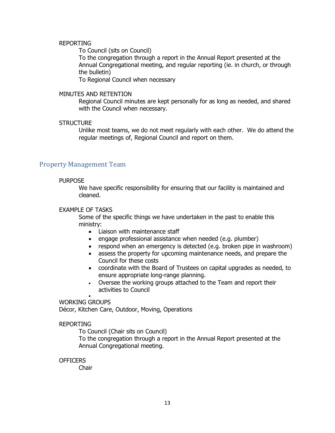#### REPORTING

To Council (sits on Council)

To the congregation through a report in the Annual Report presented at the Annual Congregational meeting, and regular reporting (ie. in church, or through the bulletin)

To Regional Council when necessary

#### MINUTES AND RETENTION

Regional Council minutes are kept personally for as long as needed, and shared with the Council when necessary.

#### **STRUCTURE**

Unlike most teams, we do not meet regularly with each other. We do attend the regular meetings of, Regional Council and report on them.

#### <span id="page-12-0"></span>Property Management Team

#### PURPOSE

We have specific responsibility for ensuring that our facility is maintained and cleaned.

#### EXAMPLE OF TASKS

Some of the specific things we have undertaken in the past to enable this ministry:

- Liaison with maintenance staff
- engage professional assistance when needed (e.g. plumber)
- respond when an emergency is detected (e.g. broken pipe in washroom)
- assess the property for upcoming maintenance needs, and prepare the Council for these costs
- coordinate with the Board of Trustees on capital upgrades as needed, to ensure appropriate long-range planning.
- Oversee the working groups attached to the Team and report their activities to Council

#### • WORKING GROUPS

Décor, Kitchen Care, Outdoor, Moving, Operations

#### REPORTING

To Council (Chair sits on Council)

To the congregation through a report in the Annual Report presented at the Annual Congregational meeting.

#### **OFFICERS**

Chair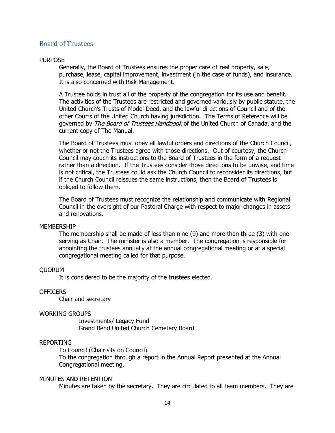#### <span id="page-13-0"></span>Board of Trustees

#### PURPOSE

Generally, the Board of Trustees ensures the proper care of real property, sale, purchase, lease, capital improvement, investment (in the case of funds), and insurance. It is also concerned with Risk Management.

A Trustee holds in trust all of the property of the congregation for its use and benefit. The activities of the Trustees are restricted and governed variously by public statute, the United Church's Trusts of Model Deed, and the lawful directions of Council and of the other Courts of the United Church having jurisdiction. The Terms of Reference will be governed by The Board of Trustees Handbook of the United Church of Canada, and the current copy of The Manual.

The Board of Trustees must obey all lawful orders and directions of the Church Council, whether or not the Trustees agree with those directions. Out of courtesy, the Church Council may couch its instructions to the Board of Trustees in the form of a request rather than a direction. If the Trustees consider those directions to be unwise, and time is not critical, the Trustees could ask the Church Council to reconsider its directions, but if the Church Council reissues the same instructions, then the Board of Trustees is obliged to follow them.

The Board of Trustees must recognize the relationship and communicate with Regional Council in the oversight of our Pastoral Charge with respect to major changes in assets and renovations.

#### MEMBERSHIP

The membership shall be made of less than nine (9) and more than three (3) with one serving as Chair. The minister is also a member. The congregation is responsible for appointing the trustees annually at the annual congregational meeting or at a special congregational meeting called for that purpose.

#### QUORUM

It is considered to be the majority of the trustees elected.

#### **OFFICERS**

Chair and secretary

#### WORKING GROUPS

Investments/ Legacy Fund Grand Bend United Church Cemetery Board

#### REPORTING

To Council (Chair sits on Council)

To the congregation through a report in the Annual Report presented at the Annual Congregational meeting.

#### MINUTES AND RETENTION

Minutes are taken by the secretary. They are circulated to all team members. They are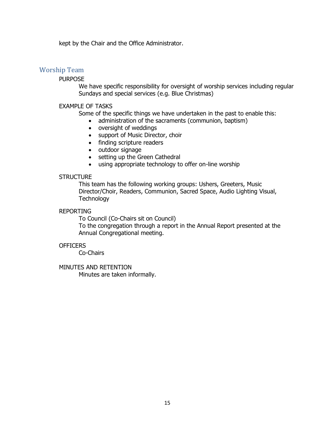kept by the Chair and the Office Administrator.

## <span id="page-14-0"></span>Worship Team

#### PURPOSE

We have specific responsibility for oversight of worship services including regular Sundays and special services (e.g. Blue Christmas)

#### EXAMPLE OF TASKS

Some of the specific things we have undertaken in the past to enable this:

- administration of the sacraments (communion, baptism)
- oversight of weddings
- support of Music Director, choir
- finding scripture readers
- outdoor signage
- setting up the Green Cathedral
- using appropriate technology to offer on-line worship

#### **STRUCTURE**

This team has the following working groups: Ushers, Greeters, Music Director/Choir, Readers, Communion, Sacred Space, Audio Lighting Visual, **Technology** 

#### REPORTING

To Council (Co-Chairs sit on Council)

To the congregation through a report in the Annual Report presented at the Annual Congregational meeting.

#### **OFFICERS**

Co-Chairs

MINUTES AND RETENTION Minutes are taken informally.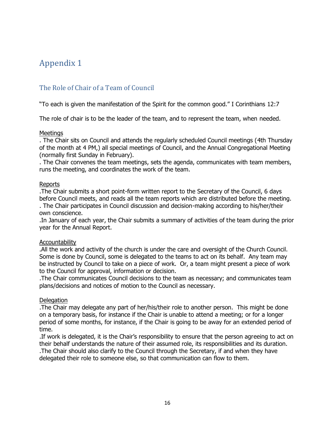# <span id="page-15-0"></span>Appendix 1

# <span id="page-15-1"></span>The Role of Chair of a Team of Council

"To each is given the manifestation of the Spirit for the common good." I Corinthians 12:7

The role of chair is to be the leader of the team, and to represent the team, when needed.

#### **Meetings**

. The Chair sits on Council and attends the regularly scheduled Council meetings (4th Thursday of the month at 4 PM,) all special meetings of Council, and the Annual Congregational Meeting (normally first Sunday in February).

. The Chair convenes the team meetings, sets the agenda, communicates with team members, runs the meeting, and coordinates the work of the team.

#### Reports

.The Chair submits a short point-form written report to the Secretary of the Council, 6 days before Council meets, and reads all the team reports which are distributed before the meeting. . The Chair participates in Council discussion and decision-making according to his/her/their own conscience.

.In January of each year, the Chair submits a summary of activities of the team during the prior year for the Annual Report.

#### Accountability

.All the work and activity of the church is under the care and oversight of the Church Council. Some is done by Council, some is delegated to the teams to act on its behalf. Any team may be instructed by Council to take on a piece of work. Or, a team might present a piece of work to the Council for approval, information or decision.

.The Chair communicates Council decisions to the team as necessary; and communicates team plans/decisions and notices of motion to the Council as necessary.

#### **Delegation**

.The Chair may delegate any part of her/his/their role to another person. This might be done on a temporary basis, for instance if the Chair is unable to attend a meeting; or for a longer period of some months, for instance, if the Chair is going to be away for an extended period of time.

.If work is delegated, it is the Chair's responsibility to ensure that the person agreeing to act on their behalf understands the nature of their assumed role, its responsibilities and its duration. .The Chair should also clarify to the Council through the Secretary, if and when they have delegated their role to someone else, so that communication can flow to them.